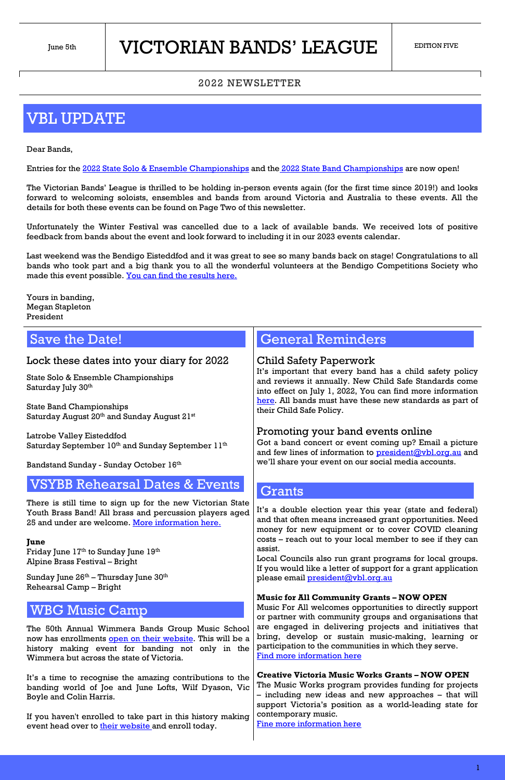### 2022 NEWSLETTER

# VBL UPDATE

Dear Bands,

Entries for the [2022 State Solo & Ensemble Championships](https://vbl.org.au/2022-ssec/) and the [2022 State Band Championships](https://vbl.org.au/2022-state-band-championships/) are now open!

The Victorian Bands' League is thrilled to be holding in-person events again (for the first time since 2019!) and looks forward to welcoming soloists, ensembles and bands from around Victoria and Australia to these events. All the details for both these events can be found on Page Two of this newsletter.

Last weekend was the Bendigo Eisteddfod and it was great to see so many bands back on stage! Congratulations to all bands who took part and a big thank you to all the wonderful volunteers at the Bendigo Competitions Society who made this event possible. [You can find the results here.](https://vbl.org.au/bendigo-eisteddfod-2022-results/)

State Solo & Ensemble Championships Saturday July 30<sup>th</sup>

State Band Championships Saturday August  $20<sup>th</sup>$  and Sunday August  $21<sup>st</sup>$ 

Unfortunately the Winter Festival was cancelled due to a lack of available bands. We received lots of positive feedback from bands about the event and look forward to including it in our 2023 events calendar.

Latrobe Valley Eisteddfod Saturday September 10<sup>th</sup> and Sunday September 11<sup>th</sup>

There is still time to sign up for the new Victorian State Youth Brass Band! All brass and percussion players aged 25 and under are welcome. [More information here.](https://skunkworkscommunity.com/state-youth-brass-band)

Friday June  $17<sup>th</sup>$  to Sunday June  $19<sup>th</sup>$ Alpine Brass Festival – Bright

## Save the Date! Save the Date!

Sunday June  $26<sup>th</sup>$  – Thursday June  $30<sup>th</sup>$ Rehearsal Camp – Bright

Yours in banding, Megan Stapleton President

If you haven't enrolled to take part in this history making event head over to their [website](http://www.wbgmusicschool.com/) and enroll today.

please email **president@vbl.org.au** 

### Lock these dates into your diary for 2022

Bandstand Sunday - Sunday October 16th

### VSYBB Rehearsal Dates & Events

### **June**

## WBG Music Camp

The 50th Annual Wimmera Bands Group Music School now has enrollments [open on their](http://www.wbgmusicschool.com/) website. This will be a history making event for banding not only in the Wimmera but across the state of Victoria.

It's a time to recognise the amazing contributions to the banding world of Joe and June Lofts, Wilf Dyason, Vic Boyle and Colin Harris.

### Child Safety Paperwork

It's important that every band has a child safety policy and reviews it annually. New Child Safe Standards come into effect on July 1, 2022, You can find more information [here.](https://ccyp.vic.gov.au/child-safe-standards/) All bands must have these new standards as part of their Child Safe Policy.

### Promoting your band events online

Got a band concert or event coming up? Email a picture and few lines of information to **president@vbl.org.au** and we'll share your event on our social media accounts.

### **Grants**

It's a double election year this year (state and federal) and that often means increased grant opportunities. Need money for new equipment or to cover COVID cleaning costs – reach out to your local member to see if they can assist.

Local Councils also run grant programs for local groups. If you would like a letter of support for a grant application

### **Music for All Community Grants – NOW OPEN**

Music For All welcomes opportunities to directly support or partner with community groups and organisations that are engaged in delivering projects and initiatives that bring, develop or sustain music-making, learning or participation to the communities in which they serve. [Find more information here](https://www.musicforall.org.au/community-grants/)

**Creative Victoria Music Works Grants – NOW OPEN** The Music Works program provides funding for projects – including new ideas and new approaches – that will support Victoria's position as a world-leading state for contemporary music.

[Fine more information here](https://creative.vic.gov.au/grants-and-support/programs/music-works)